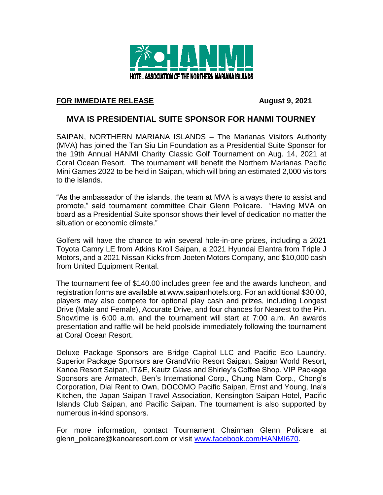

## **FOR IMMEDIATE RELEASE August 9, 2021**

## **MVA IS PRESIDENTIAL SUITE SPONSOR FOR HANMI TOURNEY**

SAIPAN, NORTHERN MARIANA ISLANDS – The Marianas Visitors Authority (MVA) has joined the Tan Siu Lin Foundation as a Presidential Suite Sponsor for the 19th Annual HANMI Charity Classic Golf Tournament on Aug. 14, 2021 at Coral Ocean Resort. The tournament will benefit the Northern Marianas Pacific Mini Games 2022 to be held in Saipan, which will bring an estimated 2,000 visitors to the islands.

"As the ambassador of the islands, the team at MVA is always there to assist and promote," said tournament committee Chair Glenn Policare. "Having MVA on board as a Presidential Suite sponsor shows their level of dedication no matter the situation or economic climate."

Golfers will have the chance to win several hole-in-one prizes, including a 2021 Toyota Camry LE from Atkins Kroll Saipan, a 2021 Hyundai Elantra from Triple J Motors, and a 2021 Nissan Kicks from Joeten Motors Company, and \$10,000 cash from United Equipment Rental.

The tournament fee of \$140.00 includes green fee and the awards luncheon, and registration forms are available at www.saipanhotels.org. For an additional \$30.00, players may also compete for optional play cash and prizes, including Longest Drive (Male and Female), Accurate Drive, and four chances for Nearest to the Pin. Showtime is 6:00 a.m. and the tournament will start at 7:00 a.m. An awards presentation and raffle will be held poolside immediately following the tournament at Coral Ocean Resort.

Deluxe Package Sponsors are Bridge Capitol LLC and Pacific Eco Laundry. Superior Package Sponsors are GrandVrio Resort Saipan, Saipan World Resort, Kanoa Resort Saipan, IT&E, Kautz Glass and Shirley's Coffee Shop. VIP Package Sponsors are Armatech, Ben's International Corp., Chung Nam Corp., Chong's Corporation, Dial Rent to Own, DOCOMO Pacific Saipan, Ernst and Young, Ina's Kitchen, the Japan Saipan Travel Association, Kensington Saipan Hotel, Pacific Islands Club Saipan, and Pacific Saipan. The tournament is also supported by numerous in-kind sponsors.

For more information, contact Tournament Chairman Glenn Policare at glenn\_policare@kanoaresort.com or visit [www.facebook.com/HANMI670.](http://www.facebook.com/HANMI670)